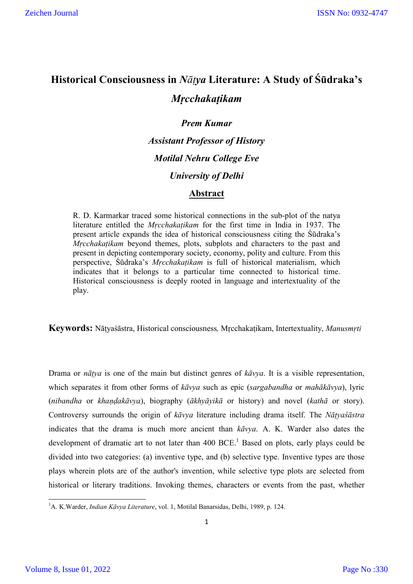# **Historical Consciousness in** *Nāṭya* **Literature: A Study of Śūdraka's**  *Mṛcchakaṭikam*

*Prem Kumar Assistant Professor of History Motilal Nehru College Eve University of Delhi*

## **Abstract**

R. D. Karmarkar traced some historical connections in the sub-plot of the natya literature entitled the *Mṛcchakaṭikam* for the first time in India in 1937. The present article expands the idea of historical consciousness citing the Śūdraka's *Mrcchakatikam* beyond themes, plots, subplots and characters to the past and present in depicting contemporary society, economy, polity and culture. From this perspective, Śūdraka's *Mṛcchakaṭikam* is full of historical materialism, which indicates that it belongs to a particular time connected to historical time. Historical consciousness is deeply rooted in language and intertextuality of the play.

**Keywords:** Nāṭyaśāstra, Historical consciousness*,* Mṛcchakaṭikam, Intertextuality, *Manusmṛti*

Drama or *nāṭya* is one of the main but distinct genres of *kāvya*. It is a visible representation, which separates it from other forms of *kāvya* such as epic (*sargabandha* or *mahākāvya*), lyric (*nibandha* or *khaṇḍakāvya*), biography (*ākhyāyikā* or history) and novel (*kathā* or story). Controversy surrounds the origin of *kāvya* literature including drama itself. The *Nāṭyaśāstra*  indicates that the drama is much more ancient than *kāvya*. A. K. Warder also dates the development of dramatic art to not later than  $400$  BCE.<sup>1</sup> Based on plots, early plays could be divided into two categories: (a) inventive type, and (b) selective type. Inventive types are those plays wherein plots are of the author's invention, while selective type plots are selected from historical or literary traditions. Invoking themes, characters or events from the past, whether

 $\frac{1}{1}$ A. K.Warder, *Indian Kāvya Literature*, vol. 1, Motilal Banarsidas, Delhi, 1989, p. 124.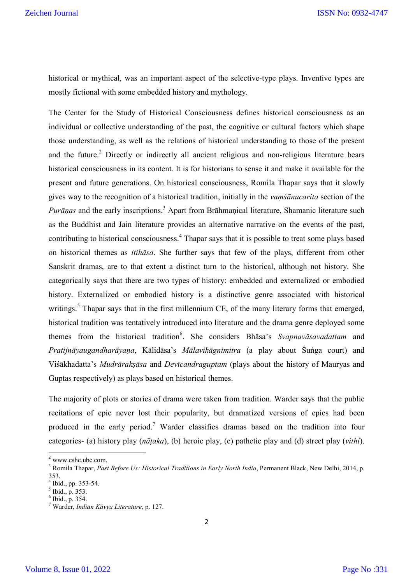historical or mythical, was an important aspect of the selective-type plays. Inventive types are mostly fictional with some embedded history and mythology.

The Center for the Study of Historical Consciousness defines historical consciousness as an individual or collective understanding of the past, the cognitive or cultural factors which shape those understanding, as well as the relations of historical understanding to those of the present and the future.<sup>2</sup> Directly or indirectly all ancient religious and non-religious literature bears historical consciousness in its content. It is for historians to sense it and make it available for the present and future generations. On historical consciousness, Romila Thapar says that it slowly gives way to the recognition of a historical tradition, initially in the *vaṃśānucarita* section of the *Purānas* and the early inscriptions.<sup>3</sup> Apart from Brāhmanical literature, Shamanic literature such as the Buddhist and Jain literature provides an alternative narrative on the events of the past, contributing to historical consciousness.<sup>4</sup> Thapar says that it is possible to treat some plays based on historical themes as *itihāsa*. She further says that few of the plays, different from other Sanskrit dramas, are to that extent a distinct turn to the historical, although not history. She categorically says that there are two types of history: embedded and externalized or embodied history. Externalized or embodied history is a distinctive genre associated with historical writings.<sup>5</sup> Thapar says that in the first millennium CE, of the many literary forms that emerged, historical tradition was tentatively introduced into literature and the drama genre deployed some themes from the historical tradition<sup>6</sup>. She considers Bhasa's *Svapnavasavadattam* and *Pratijnāyaugandharāyaṇa*, Kālidāsa's *Mālavikāgnimitra* (a play about Śuṅga court) and Viśākhadatta's *Mudrārakṣāsa* and *Devīcandraguptam* (plays about the history of Mauryas and Guptas respectively) as plays based on historical themes.

The majority of plots or stories of drama were taken from tradition. Warder says that the public recitations of epic never lost their popularity, but dramatized versions of epics had been produced in the early period.<sup>7</sup> Warder classifies dramas based on the tradition into four categories- (a) history play (*nāṭaka*), (b) heroic play, (c) pathetic play and (d) street play (*vithi*).

<sup>&</sup>lt;sup>2</sup> www.cshc.ubc.com.<br><sup>3</sup> Romila Thapar, *Past Before Us: Historical Traditions in Early North India*, Permanent Black, New Delhi, 2014, p. 353.<br><sup>4</sup> Ibid., pp. 353-54.

 $\frac{5}{6}$  Ibid., p. 353.<br> $\frac{6}{6}$  Ibid., p. 354.<br><sup>7</sup> Warder, *Indian Kāvya Literature*, p. 127.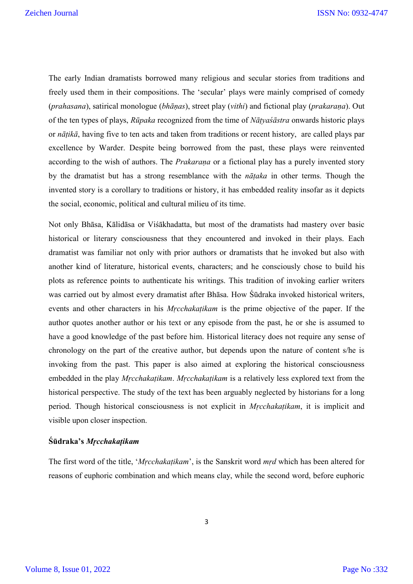The early Indian dramatists borrowed many religious and secular stories from traditions and freely used them in their compositions. The 'secular' plays were mainly comprised of comedy (*prahasana*), satirical monologue (*bhāṇas*), street play (*vithi*) and fictional play (*prakaraṇa*). Out of the ten types of plays, *Rūpaka* recognized from the time of *Nāṭyaśāstra* onwards historic plays or *nāṭikā*, having five to ten acts and taken from traditions or recent history, are called plays par excellence by Warder. Despite being borrowed from the past, these plays were reinvented according to the wish of authors. The *Prakaraṇa* or a fictional play has a purely invented story by the dramatist but has a strong resemblance with the *nāṭaka* in other terms. Though the invented story is a corollary to traditions or history, it has embedded reality insofar as it depicts the social, economic, political and cultural milieu of its time.

Not only Bhāsa, Kālidāsa or Viśākhadatta, but most of the dramatists had mastery over basic historical or literary consciousness that they encountered and invoked in their plays. Each dramatist was familiar not only with prior authors or dramatists that he invoked but also with another kind of literature, historical events, characters; and he consciously chose to build his plots as reference points to authenticate his writings. This tradition of invoking earlier writers was carried out by almost every dramatist after Bhāsa. How Śūdraka invoked historical writers, events and other characters in his *Mrcchakatikam* is the prime objective of the paper. If the author quotes another author or his text or any episode from the past, he or she is assumed to have a good knowledge of the past before him. Historical literacy does not require any sense of chronology on the part of the creative author, but depends upon the nature of content s/he is invoking from the past. This paper is also aimed at exploring the historical consciousness embedded in the play *Mṛcchakaṭikam*. *Mṛcchakaṭikam* is a relatively less explored text from the historical perspective. The study of the text has been arguably neglected by historians for a long period. Though historical consciousness is not explicit in *Mṛcchakaṭikam*, it is implicit and visible upon closer inspection.

#### **Śūdraka's** *Mṛcchakaṭikam*

The first word of the title, '*Mṛcchakaṭikam*', is the Sanskrit word *mṛd* which has been altered for reasons of euphoric combination and which means clay, while the second word, before euphoric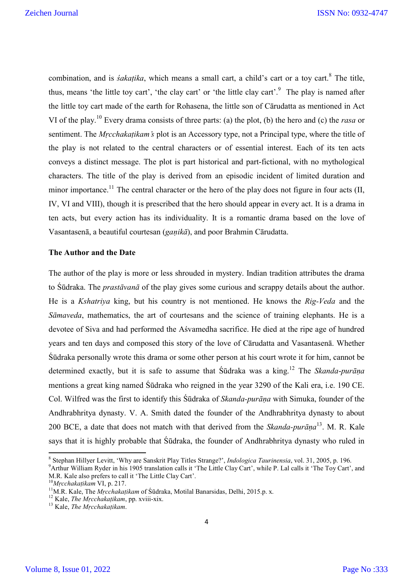combination, and is *śakaṭika*, which means a small cart, a child's cart or a toy cart.<sup>8</sup> The title, thus, means 'the little toy cart', 'the clay cart' or 'the little clay cart'.<sup>9</sup> The play is named after the little toy cart made of the earth for Rohasena, the little son of Cārudatta as mentioned in Act VI of the play.<sup>10</sup> Every drama consists of three parts: (a) the plot, (b) the hero and (c) the *rasa* or sentiment. The *Mrcchakatikam's* plot is an Accessory type, not a Principal type, where the title of the play is not related to the central characters or of essential interest. Each of its ten acts conveys a distinct message. The plot is part historical and part-fictional, with no mythological characters. The title of the play is derived from an episodic incident of limited duration and minor importance.<sup>11</sup> The central character or the hero of the play does not figure in four acts (II, IV, VI and VIII), though it is prescribed that the hero should appear in every act. It is a drama in ten acts, but every action has its individuality. It is a romantic drama based on the love of Vasantasenā, a beautiful courtesan (*gaṇikā*), and poor Brahmin Cārudatta.

#### **The Author and the Date**

The author of the play is more or less shrouded in mystery. Indian tradition attributes the drama to Śūdraka. The *prastāvanā* of the play gives some curious and scrappy details about the author. He is a *Kshatriya* king, but his country is not mentioned. He knows the *Rig-Veda* and the *Sāmaveda*, mathematics, the art of courtesans and the science of training elephants. He is a devotee of Siva and had performed the Aśvamedha sacrifice. He died at the ripe age of hundred years and ten days and composed this story of the love of Cārudatta and Vasantasenā. Whether Śūdraka personally wrote this drama or some other person at his court wrote it for him, cannot be determined exactly, but it is safe to assume that Śūdraka was a king. <sup>12</sup> The *Skanda*-*purāṇa* mentions a great king named Śūdraka who reigned in the year 3290 of the Kali era, i.e. 190 CE. Col. Wilfred was the first to identify this Śūdraka of *Skanda-purāṇa* with Simuka, founder of the Andhrabhritya dynasty. V. A. Smith dated the founder of the Andhrabhritya dynasty to about 200 BCE, a date that does not match with that derived from the *Skanda-purāṇa*13. M. R. Kale says that it is highly probable that Śūdraka, the founder of Andhrabhritya dynasty who ruled in

<sup>&</sup>lt;sup>8</sup> Stephan Hillyer Levitt, 'Why are Sanskrit Play Titles Strange?', *Indologica Taurinensia*, vol. 31, 2005, p. 196.

<sup>&</sup>lt;sup>9</sup> Arthur William Ryder in his 1905 translation calls it 'The Little Clay Cart', while P. Lal calls it 'The Toy Cart', and M.R. Kale also prefers to call it 'The Little Clay Cart'.

<sup>&</sup>lt;sup>10</sup>Mrcchakațikam VI, p. 217.<br><sup>11</sup>M.R. Kale, The *Mrcchakațikam* of Śūdraka, Motilal Banarsidas, Delhi, 2015.p. x.<br><sup>12</sup> Kale, *The Mrcchakațikam*, pp. xviii-xix.<br><sup>13</sup> Kale. *The Mrcchakatikam*.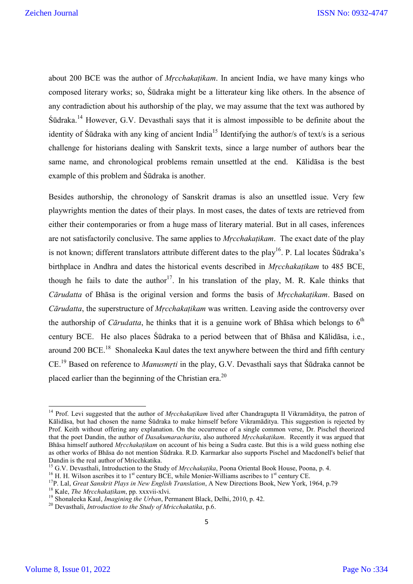about 200 BCE was the author of *Mṛcchakaṭikam*. In ancient India, we have many kings who composed literary works; so, Śūdraka might be a litterateur king like others. In the absence of any contradiction about his authorship of the play, we may assume that the text was authored by Śūdraka. <sup>14</sup> However, G.V. Devasthali says that it is almost impossible to be definite about the identity of Sūdraka with any king of ancient India<sup>15</sup> Identifying the author/s of text/s is a serious challenge for historians dealing with Sanskrit texts, since a large number of authors bear the same name, and chronological problems remain unsettled at the end. Kālidāsa is the best example of this problem and Śūdraka is another.

Besides authorship, the chronology of Sanskrit dramas is also an unsettled issue. Very few playwrights mention the dates of their plays. In most cases, the dates of texts are retrieved from either their contemporaries or from a huge mass of literary material. But in all cases, inferences are not satisfactorily conclusive. The same applies to *Mṛcchakaṭikam*. The exact date of the play is not known; different translators attribute different dates to the play<sup>16</sup>. P. Lal locates Sudraka's birthplace in Andhra and dates the historical events described in *Mṛcchakaṭikam* to 485 BCE, though he fails to date the author<sup>17</sup>. In his translation of the play, M. R. Kale thinks that *Cārudatta* of Bhāsa is the original version and forms the basis of *Mṛcchakaṭikam*. Based on *Cārudatta*, the superstructure of *Mṛcchakaṭikam* was written. Leaving aside the controversy over the authorship of *Cārudatta*, he thinks that it is a genuine work of Bhāsa which belongs to  $6<sup>th</sup>$ century BCE. He also places Śūdraka to a period between that of Bhāsa and Kālidāsa, i.e., around 200 BCE.<sup>18</sup> Shonaleeka Kaul dates the text anywhere between the third and fifth century CE.19 Based on reference to *Manusmṛti* in the play, G.V. Devasthali says that Śūdraka cannot be placed earlier than the beginning of the Christian era.<sup>20</sup>

<sup>&</sup>lt;sup>14</sup> Prof. Levi suggested that the author of *Mrcchakaṭikam* lived after Chandragupta II Vikramāditya, the patron of Kālidāsa, but had chosen the name Śūdraka to make himself before Vikramāditya. This suggestion is rejected by Prof. Keith without offering any explanation. On the occurrence of a single common verse, Dr. Pischel theorized that the poet Dandin, the author of *Dasakumaracharita*, also authored *Mṛcchakaṭikam*. Recently it was argued that Bhāsa himself authored *Mṛcchakaṭikam* on account of his being a Sudra caste. But this is a wild guess nothing else as other works of Bhāsa do not mention Śūdraka. R.D. Karmarkar also supports Pischel and Macdonell's belief that Dandin is the real author of Mricchkatika.<br><sup>15</sup> G.V. Devasthali, Introduction to the Study of *Mrcchakatika*, Poona Oriental Book House, Poona, p. 4.

<sup>&</sup>lt;sup>16</sup> H. H. Wilson ascribes it to 1<sup>st</sup> century BCE, while Monier-Williams ascribes to 1<sup>st</sup> century CE.<br><sup>17</sup>P. Lal, *Great Sanskrit Plays in New English Translation*, A New Directions Book, New York, 1964, p.79<sup>18</sup> Kale,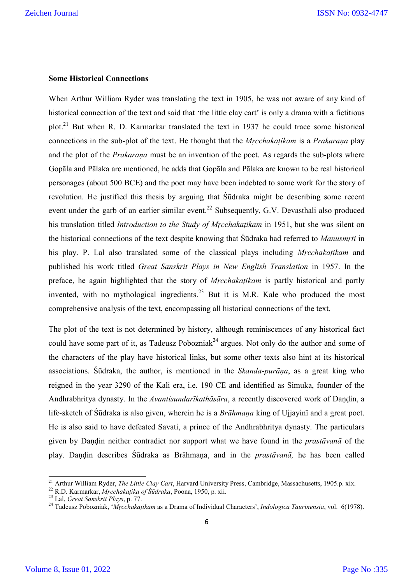#### **Some Historical Connections**

When Arthur William Ryder was translating the text in 1905, he was not aware of any kind of historical connection of the text and said that 'the little clay cart' is only a drama with a fictitious plot.21 But when R. D. Karmarkar translated the text in 1937 he could trace some historical connections in the sub-plot of the text. He thought that the *Mṛcchakaṭikam* is a *Prakaraṇa* play and the plot of the *Prakaraṇa* must be an invention of the poet. As regards the sub-plots where Gopāla and Pālaka are mentioned, he adds that Gopāla and Pālaka are known to be real historical personages (about 500 BCE) and the poet may have been indebted to some work for the story of revolution. He justified this thesis by arguing that Śūdraka might be describing some recent event under the garb of an earlier similar event.<sup>22</sup> Subsequently, G.V. Devasthali also produced his translation titled *Introduction to the Study of Mṛcchakaṭikam* in 1951, but she was silent on the historical connections of the text despite knowing that Śūdraka had referred to *Manusmṛti* in his play. P. Lal also translated some of the classical plays including *Mṛcchakaṭikam* and published his work titled *Great Sanskrit Plays in New English Translation* in 1957. In the preface, he again highlighted that the story of *Mṛcchakaṭikam* is partly historical and partly invented, with no mythological ingredients.<sup>23</sup> But it is M.R. Kale who produced the most comprehensive analysis of the text, encompassing all historical connections of the text.

The plot of the text is not determined by history, although reminiscences of any historical fact could have some part of it, as Tadeusz Pobozniak<sup>24</sup> argues. Not only do the author and some of the characters of the play have historical links, but some other texts also hint at its historical associations. Śūdraka, the author, is mentioned in the *Skanda*-*purāṇa*, as a great king who reigned in the year 3290 of the Kali era, i.e. 190 CE and identified as Simuka, founder of the Andhrabhritya dynasty. In the *Avantisundarīkathāsāra*, a recently discovered work of Daṇḍin, a life-sketch of Śūdraka is also given, wherein he is a *Brāhmaṇa* king of Ujjayinī and a great poet. He is also said to have defeated Savati, a prince of the Andhrabhritya dynasty. The particulars given by Daṇḍin neither contradict nor support what we have found in the *prastāvanā* of the play. Daṇḍin describes Śūdraka as Brāhmaṇa, and in the *prastāvanā,* he has been called

<sup>&</sup>lt;sup>21</sup> Arthur William Ryder, *The Little Clay Cart*, Harvard University Press, Cambridge, Massachusetts, 1905.p. xix.<br><sup>22</sup> R.D. Karmarkar, *Mrcchakatika of Śūdraka*, Poona, 1950, p. xii.<br><sup>23</sup> Lal, *Great Sanskrit Plays*, p.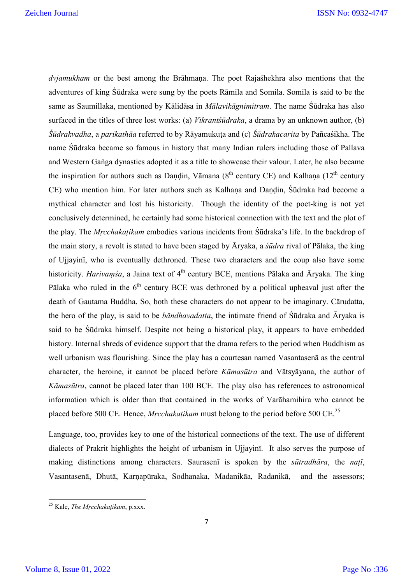*dvjamukham* or the best among the Brāhmaṇa. The poet Rajaśhekhra also mentions that the adventures of king Śūdraka were sung by the poets Rāmila and Somila. Somila is said to be the same as Saumillaka, mentioned by Kālidāsa in *Mālavikāgnimitram*. The name Śūdraka has also surfaced in the titles of three lost works: (a) *Vikrantśūdraka*, a drama by an unknown author, (b) *Śūdrakvadha*, a *parikathāa* referred to by Rāyamukuṭa and (c) *Śūdrakacarita* by Pañcaśikha. The name Śūdraka became so famous in history that many Indian rulers including those of Pallava and Western Gaṅga dynasties adopted it as a title to showcase their valour. Later, he also became the inspiration for authors such as Dandin, Vāmana ( $8<sup>th</sup>$  century CE) and Kalhana (12<sup>th</sup> century CE) who mention him. For later authors such as Kalhaṇa and Daṇḍin, Śūdraka had become a mythical character and lost his historicity. Though the identity of the poet-king is not yet conclusively determined, he certainly had some historical connection with the text and the plot of the play. The *Mṛcchakaṭikam* embodies various incidents from Śūdraka's life. In the backdrop of the main story, a revolt is stated to have been staged by Āryaka, a *śūdra* rival of Pālaka, the king of Ujjayinī, who is eventually dethroned. These two characters and the coup also have some historicity. *Harivamśa*, a Jaina text of 4<sup>th</sup> century BCE, mentions Pālaka and Āryaka. The king Pālaka who ruled in the  $6<sup>th</sup>$  century BCE was dethroned by a political upheaval just after the death of Gautama Buddha. So, both these characters do not appear to be imaginary. Cārudatta, the hero of the play, is said to be *bāndhavadatta*, the intimate friend of Śūdraka and Āryaka is said to be Śūdraka himself. Despite not being a historical play, it appears to have embedded history. Internal shreds of evidence support that the drama refers to the period when Buddhism as well urbanism was flourishing. Since the play has a courtesan named Vasantasenā as the central character, the heroine, it cannot be placed before *Kāmasūtra* and Vātsyāyana, the author of *Kāmasūtra*, cannot be placed later than 100 BCE. The play also has references to astronomical information which is older than that contained in the works of Varāhamihira who cannot be placed before 500 CE. Hence, *Mṛcchakaṭikam* must belong to the period before 500 CE.<sup>25</sup>

Language, too, provides key to one of the historical connections of the text. The use of different dialects of Prakrit highlights the height of urbanism in Ujjayinī. It also serves the purpose of making distinctions among characters. Saurasenī is spoken by the *sūtradhāra*, the *naṭī*, Vasantasenā, Dhutā, Karṇapūraka, Sodhanaka, Madanikāa, Radanikā, and the assessors;

<sup>25</sup> Kale, *The Mṛcchakaṭikam*, p.xxx.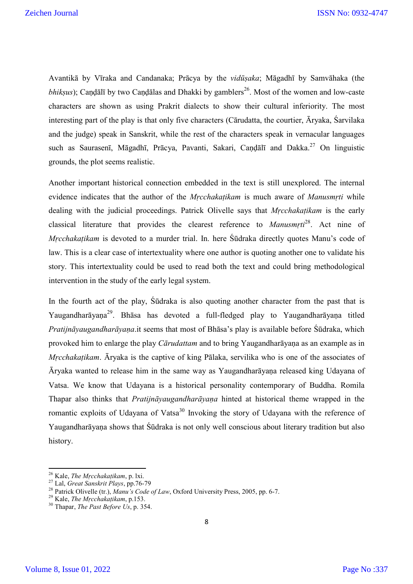Avantikā by Vīraka and Candanaka; Prācya by the *vidūṣaka*; Māgadhī by Samvāhaka (the *bhiksus*); Candālī by two Candālas and Dhakki by gamblers<sup>26</sup>. Most of the women and low-caste characters are shown as using Prakrit dialects to show their cultural inferiority. The most interesting part of the play is that only five characters (Cārudatta, the courtier, Āryaka, Śarvilaka and the judge) speak in Sanskrit, while the rest of the characters speak in vernacular languages such as Saurasenī, Māgadhī, Prācya, Pavanti, Sakari, Caṇḍālī and Dakka.<sup>27</sup> On linguistic grounds, the plot seems realistic.

Another important historical connection embedded in the text is still unexplored. The internal evidence indicates that the author of the *Mṛcchakaṭikam* is much aware of *Manusmṛti* while dealing with the judicial proceedings. Patrick Olivelle says that *Mṛcchakaṭikam* is the early classical literature that provides the clearest reference to *Manusmṛti*28. Act nine of *Mrcchakațikam* is devoted to a murder trial. In. here Śūdraka directly quotes Manu's code of law. This is a clear case of intertextuality where one author is quoting another one to validate his story. This intertextuality could be used to read both the text and could bring methodological intervention in the study of the early legal system.

In the fourth act of the play, Śūdraka is also quoting another character from the past that is Yaugandharāyaṇa<sup>29</sup>. Bhāsa has devoted a full-fledged play to Yaugandharāyaṇa titled *Pratijnāyaugandharāyaṇa*.it seems that most of Bhāsa's play is available before Śūdraka, which provoked him to enlarge the play *Cārudattam* and to bring Yaugandharāyaṇa as an example as in *Mṛcchakaṭikam*. Āryaka is the captive of king Pālaka, servilika who is one of the associates of Āryaka wanted to release him in the same way as Yaugandharāyaṇa released king Udayana of Vatsa. We know that Udayana is a historical personality contemporary of Buddha. Romila Thapar also thinks that *Pratijnāyaugandharāyaṇa* hinted at historical theme wrapped in the romantic exploits of Udayana of Vatsa<sup>30</sup> Invoking the story of Udayana with the reference of Yaugandharāyana shows that Śūdraka is not only well conscious about literary tradition but also history.

<sup>&</sup>lt;sup>26</sup> Kale, *The Mrcchakatikam*, p. lxi.<br><sup>27</sup> Lal, *Great Sanskrit Plays*, pp.76-79<br><sup>28</sup> Patrick Olivelle (tr.), *Manu's Code of Law*, Oxford University Press, 2005, pp. 6-7.<br><sup>29</sup> Kale, *The Mrcchakatikam*, p.153.<br><sup>30</sup> Tha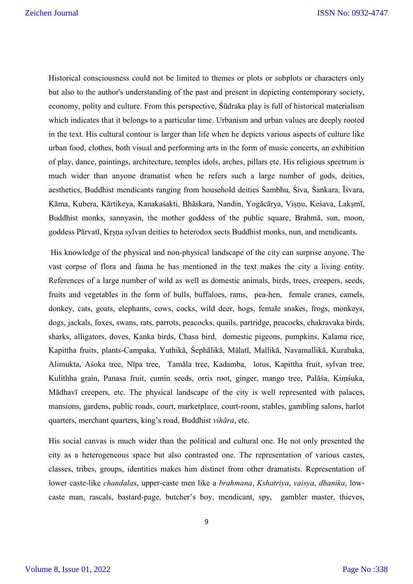Historical consciousness could not be limited to themes or plots or subplots or characters only but also to the author's understanding of the past and present in depicting contemporary society, economy, polity and culture. From this perspective, Śūdraka play is full of historical materialism which indicates that it belongs to a particular time. Urbanism and urban values are deeply rooted in the text. His cultural contour is larger than life when he depicts various aspects of culture like urban food, clothes, both visual and performing arts in the form of music concerts, an exhibition of play, dance, paintings, architecture, temples idols, arches, pillars etc. His religious spectrum is much wider than anyone dramatist when he refers such a large number of gods, deities, aesthetics, Buddhist mendicants ranging from household deities Śambhu, Śiva, Śankara, Īśvara, Kāma, Kubera, Kārtikeya, Kanakaśakti, Bhāskara, Nandin, Yogācārya, Viṣṇu, Keśava, Lakṣmī, Buddhist monks, sannyasin, the mother goddess of the public square, Brahmā, sun, moon, goddess Pārvatī, Kṛṣṇa sylvan deities to heterodox sects Buddhist monks, nun, and mendicants.

His knowledge of the physical and non-physical landscape of the city can surprise anyone. The vast corpse of flora and fauna he has mentioned in the text makes the city a living entity. References of a large number of wild as well as domestic animals, birds, trees, creepers, seeds, fruits and vegetables in the form of bulls, buffaloes, rams, pea-hen, female cranes, camels, donkey, cats, goats, elephants, cows, cocks, wild deer, hogs, female snakes, frogs, monkeys, dogs, jackals, foxes, swans, rats, parrots, peacocks, quails, partridge, peacocks, chakravaka birds, sharks, alligators, doves, Kanka birds, Chasa bird, domestic pigeons, pumpkins, Kalama rice, Kapittha fruits, plants-Campaka, Yuthikā, Śephālikā, Mālatī, Mallikā, Navamallikā, Kurabaka, Alimukta, Aśoka tree, Nīpa tree, Tamāla tree, Kadamba, lotus, Kapittha fruit, sylvan tree, Kulithha grain, Panasa fruit, cumin seeds, orris root, ginger, mango tree, Palāśa, Kiṃśuka, Mādhavī creepers, etc. The physical landscape of the city is well represented with palaces, mansions, gardens, public roads, court, marketplace, court-room, stables, gambling salons, harlot quarters, merchant quarters, king's road, Buddhist *vihāra*, etc.

His social canvas is much wider than the political and cultural one. He not only presented the city as a heterogeneous space but also contrasted one. The representation of various castes, classes, tribes, groups, identities makes him distinct from other dramatists. Representation of lower caste-like *chandala*s, upper-caste men like a *brahmana*, *Kshatriya*, *vaisya*, *dhanika*, lowcaste man, rascals, bastard-page, butcher's boy, mendicant, spy, gambler master, thieves,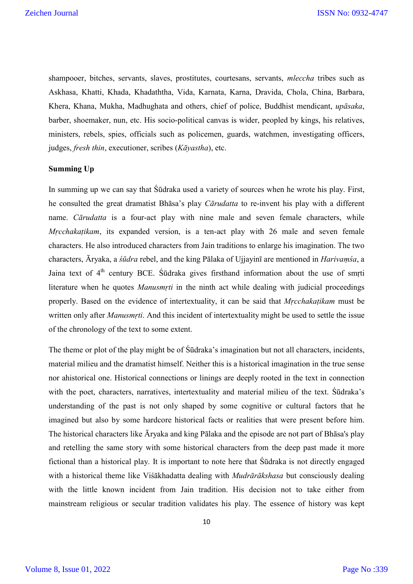shampooer, bitches, servants, slaves, prostitutes, courtesans, servants, *mleccha* tribes such as Askhasa, Khatti, Khada, Khadaththa, Vida, Karnata, Karna, Dravida, Chola, China, Barbara, Khera, Khana, Mukha, Madhughata and others, chief of police, Buddhist mendicant, *upāsaka*, barber, shoemaker, nun, etc. His socio-political canvas is wider, peopled by kings, his relatives, ministers, rebels, spies, officials such as policemen, guards, watchmen, investigating officers, judges, *fresh thin*, executioner, scribes (*Kāyastha*), etc.

#### **Summing Up**

In summing up we can say that Śūdraka used a variety of sources when he wrote his play. First, he consulted the great dramatist Bhāsa's play *Cārudatta* to re-invent his play with a different name. *Cārudatta* is a four-act play with nine male and seven female characters, while *Mṛcchakaṭikam*, its expanded version, is a ten-act play with 26 male and seven female characters. He also introduced characters from Jain traditions to enlarge his imagination. The two characters, Āryaka, a *śūdra* rebel, and the king Pālaka of Ujjayinī are mentioned in *Harivaṃśa*, a Jaina text of  $4<sup>th</sup>$  century BCE. Sūdraka gives firsthand information about the use of smrti literature when he quotes *Manusmṛti* in the ninth act while dealing with judicial proceedings properly. Based on the evidence of intertextuality, it can be said that *Mṛcchakaṭikam* must be written only after *Manusmṛti*. And this incident of intertextuality might be used to settle the issue of the chronology of the text to some extent.

The theme or plot of the play might be of Śūdraka's imagination but not all characters, incidents, material milieu and the dramatist himself. Neither this is a historical imagination in the true sense nor ahistorical one. Historical connections or linings are deeply rooted in the text in connection with the poet, characters, narratives, intertextuality and material milieu of the text. Śūdraka's understanding of the past is not only shaped by some cognitive or cultural factors that he imagined but also by some hardcore historical facts or realities that were present before him. The historical characters like Āryaka and king Pālaka and the episode are not part of Bhāsa's play and retelling the same story with some historical characters from the deep past made it more fictional than a historical play. It is important to note here that Śūdraka is not directly engaged with a historical theme like Viśākhadatta dealing with *Mudrārākshasa* but consciously dealing with the little known incident from Jain tradition. His decision not to take either from mainstream religious or secular tradition validates his play. The essence of history was kept